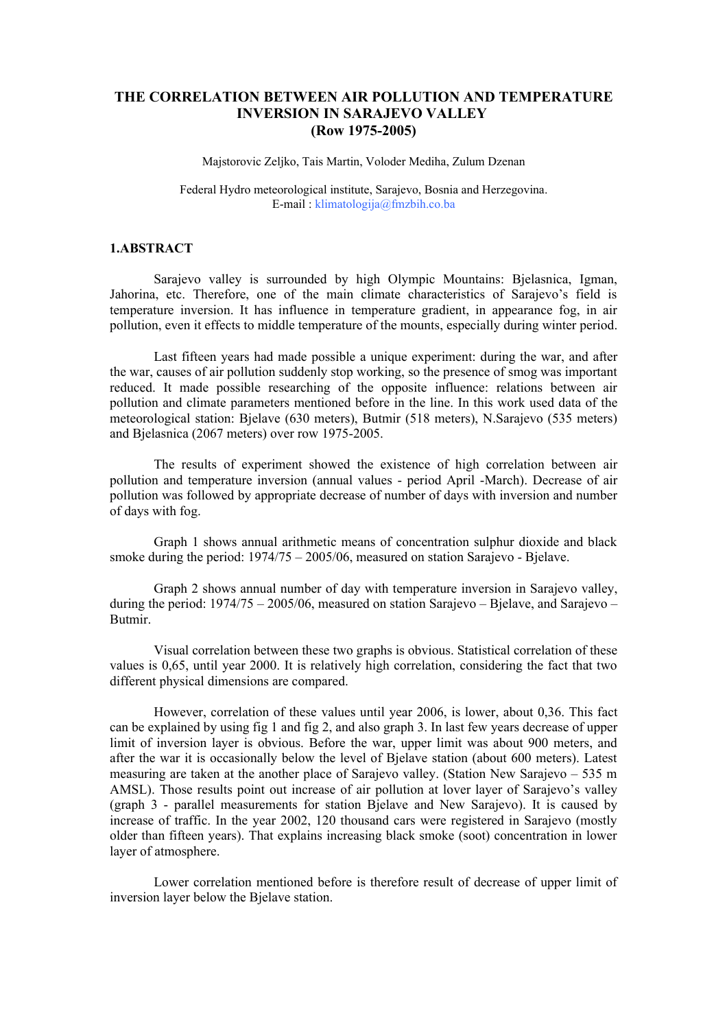## **THE CORRELATION BETWEEN AIR POLLUTION AND TEMPERATURE INVERSION IN SARAJEVO VALLEY (Row 1975-2005)**

Majstorovic Zeljko, Tais Martin, Voloder Mediha, Zulum Dzenan

Federal Hydro meteorological institute, Sarajevo, Bosnia and Herzegovina. E-mail : klimatologija@fmzbih.co.ba

## **1.ABSTRACT**

Sarajevo valley is surrounded by high Olympic Mountains: Bjelasnica, Igman, Jahorina, etc. Therefore, one of the main climate characteristics of Sarajevo's field is temperature inversion. It has influence in temperature gradient, in appearance fog, in air pollution, even it effects to middle temperature of the mounts, especially during winter period.

Last fifteen years had made possible a unique experiment: during the war, and after the war, causes of air pollution suddenly stop working, so the presence of smog was important reduced. It made possible researching of the opposite influence: relations between air pollution and climate parameters mentioned before in the line. In this work used data of the meteorological station: Bjelave (630 meters), Butmir (518 meters), N.Sarajevo (535 meters) and Bjelasnica (2067 meters) over row 1975-2005.

The results of experiment showed the existence of high correlation between air pollution and temperature inversion (annual values - period April -March). Decrease of air pollution was followed by appropriate decrease of number of days with inversion and number of days with fog.

Graph 1 shows annual arithmetic means of concentration sulphur dioxide and black smoke during the period: 1974/75 – 2005/06, measured on station Sarajevo - Bjelave.

Graph 2 shows annual number of day with temperature inversion in Sarajevo valley, during the period:  $1974/75 - 2005/06$ , measured on station Sarajevo – Bjelave, and Sarajevo – Butmir.

Visual correlation between these two graphs is obvious. Statistical correlation of these values is 0,65, until year 2000. It is relatively high correlation, considering the fact that two different physical dimensions are compared.

However, correlation of these values until year 2006, is lower, about 0,36. This fact can be explained by using fig 1 and fig 2, and also graph 3. In last few years decrease of upper limit of inversion layer is obvious. Before the war, upper limit was about 900 meters, and after the war it is occasionally below the level of Bjelave station (about 600 meters). Latest measuring are taken at the another place of Sarajevo valley. (Station New Sarajevo – 535 m AMSL). Those results point out increase of air pollution at lover layer of Sarajevo's valley (graph 3 - parallel measurements for station Bjelave and New Sarajevo). It is caused by increase of traffic. In the year 2002, 120 thousand cars were registered in Sarajevo (mostly older than fifteen years). That explains increasing black smoke (soot) concentration in lower layer of atmosphere.

Lower correlation mentioned before is therefore result of decrease of upper limit of inversion layer below the Bjelave station.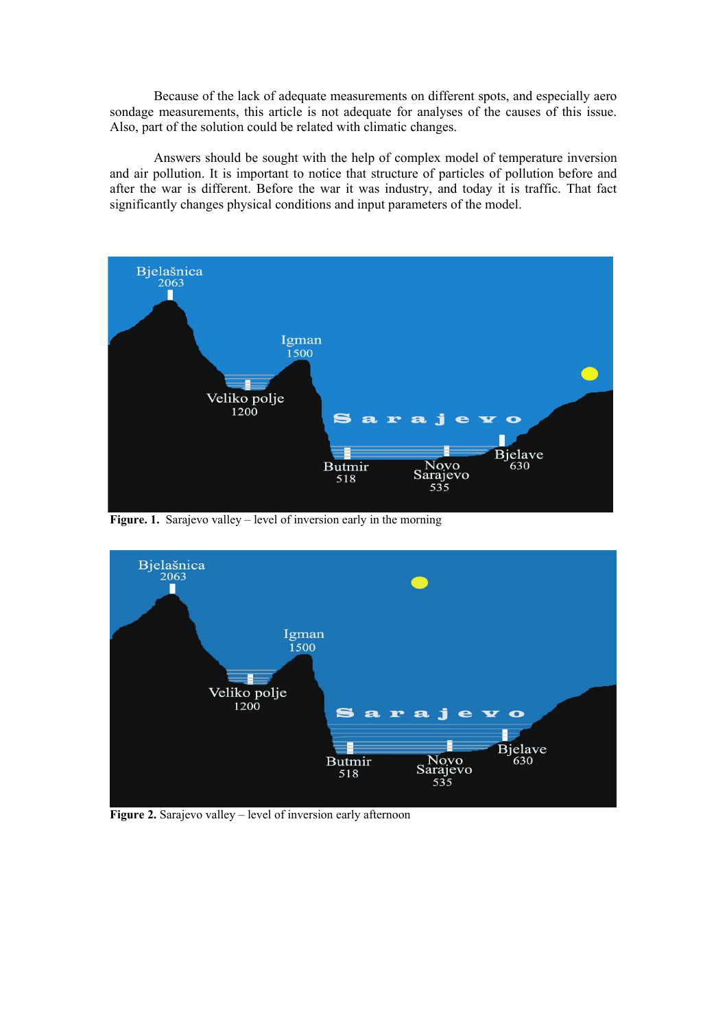Because of the lack of adequate measurements on different spots, and especially aero sondage measurements, this article is not adequate for analyses of the causes of this issue. Also, part of the solution could be related with climatic changes.

Answers should be sought with the help of complex model of temperature inversion and air pollution. It is important to notice that structure of particles of pollution before and after the war is different. Before the war it was industry, and today it is traffic. That fact significantly changes physical conditions and input parameters of the model.



Figure. 1. Sarajevo valley – level of inversion early in the morning



**Figure 2.** Sarajevo valley – level of inversion early afternoon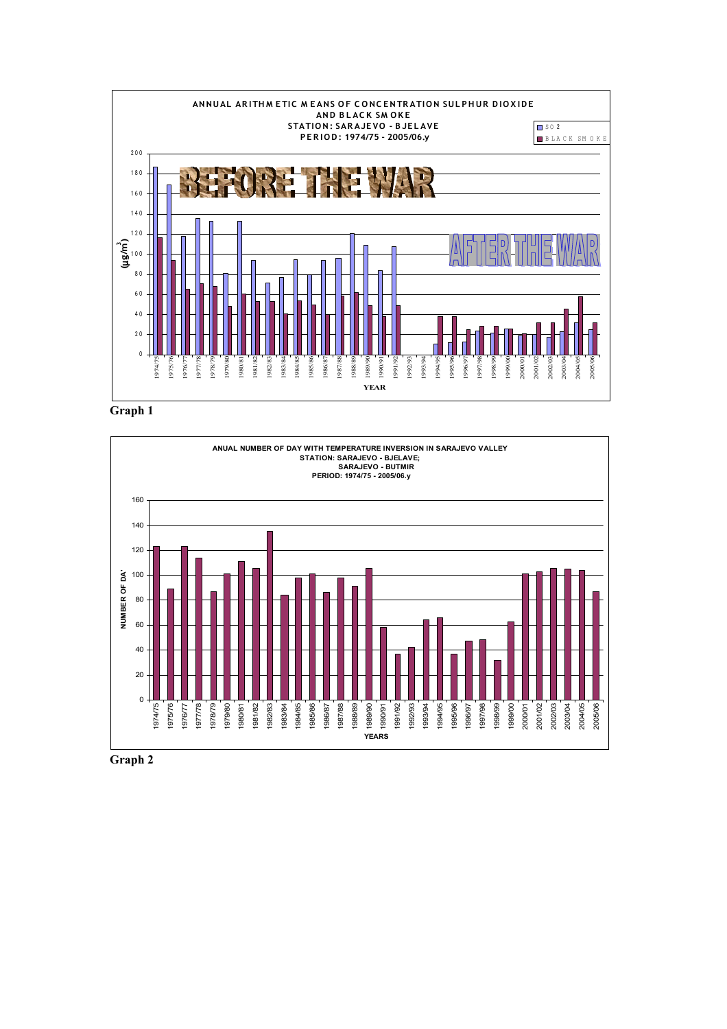

**Graph 1**



**Graph 2**